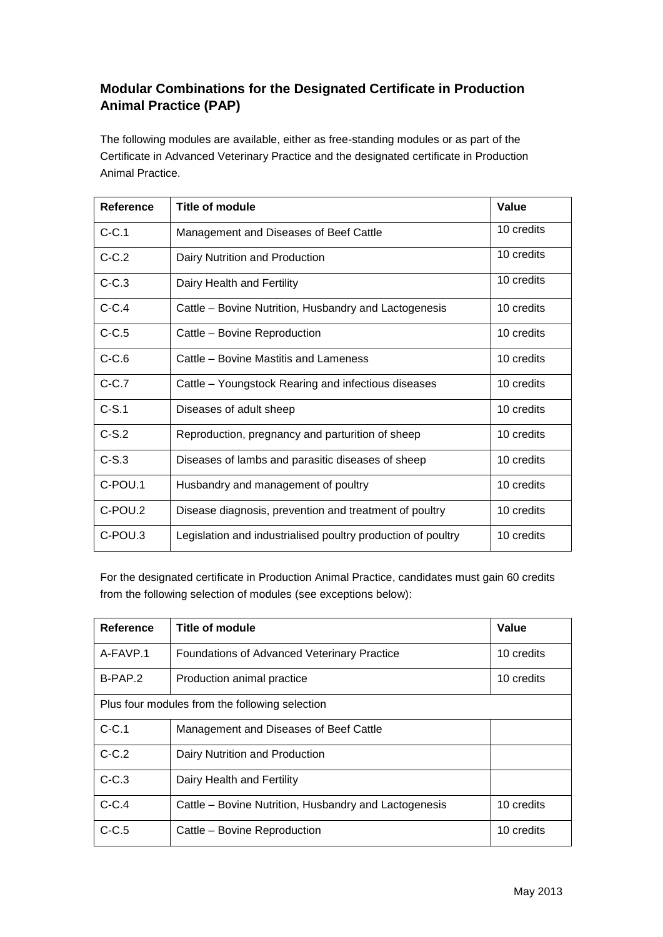## **Modular Combinations for the Designated Certificate in Production Animal Practice (PAP)**

The following modules are available, either as free-standing modules or as part of the Certificate in Advanced Veterinary Practice and the designated certificate in Production Animal Practice.

| <b>Reference</b> | <b>Title of module</b>                                       | Value      |
|------------------|--------------------------------------------------------------|------------|
| $C-C.1$          | Management and Diseases of Beef Cattle                       | 10 credits |
| $C-C.2$          | Dairy Nutrition and Production                               | 10 credits |
| $C-C.3$          | Dairy Health and Fertility                                   | 10 credits |
| $C-C.4$          | Cattle - Bovine Nutrition, Husbandry and Lactogenesis        | 10 credits |
| $C-C.5$          | Cattle - Bovine Reproduction                                 | 10 credits |
| $C-C.6$          | Cattle – Bovine Mastitis and Lameness                        | 10 credits |
| $C-C.7$          | Cattle – Youngstock Rearing and infectious diseases          | 10 credits |
| $C-S.1$          | Diseases of adult sheep                                      | 10 credits |
| $C-S.2$          | Reproduction, pregnancy and parturition of sheep             | 10 credits |
| $C-S.3$          | Diseases of lambs and parasitic diseases of sheep            | 10 credits |
| C-POU.1          | Husbandry and management of poultry                          | 10 credits |
| C-POU.2          | Disease diagnosis, prevention and treatment of poultry       | 10 credits |
| C-POU.3          | Legislation and industrialised poultry production of poultry | 10 credits |

For the designated certificate in Production Animal Practice, candidates must gain 60 credits from the following selection of modules (see exceptions below):

| Reference                                      | Title of module                                       | Value      |  |  |
|------------------------------------------------|-------------------------------------------------------|------------|--|--|
| A-FAVP.1                                       | <b>Foundations of Advanced Veterinary Practice</b>    | 10 credits |  |  |
| B-PAP.2                                        | Production animal practice                            | 10 credits |  |  |
| Plus four modules from the following selection |                                                       |            |  |  |
| $C-C.1$                                        | Management and Diseases of Beef Cattle                |            |  |  |
| $C-C.2$                                        | Dairy Nutrition and Production                        |            |  |  |
| $C-C.3$                                        | Dairy Health and Fertility                            |            |  |  |
| $C-C.4$                                        | Cattle – Bovine Nutrition, Husbandry and Lactogenesis | 10 credits |  |  |
| $C-C.5$                                        | Cattle - Bovine Reproduction                          | 10 credits |  |  |